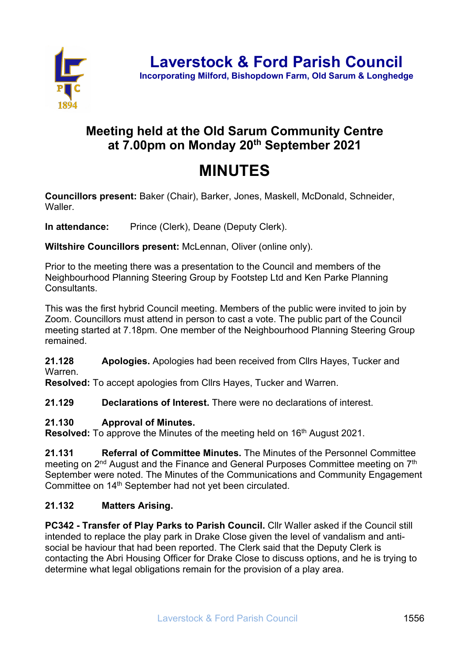

# **Meeting held at the Old Sarum Community Centre at 7.00pm on Monday 20th September 2021**

# **MINUTES**

**Councillors present:** Baker (Chair), Barker, Jones, Maskell, McDonald, Schneider, Waller.

**In attendance:** Prince (Clerk), Deane (Deputy Clerk).

**Wiltshire Councillors present:** McLennan, Oliver (online only).

Prior to the meeting there was a presentation to the Council and members of the Neighbourhood Planning Steering Group by Footstep Ltd and Ken Parke Planning Consultants.

This was the first hybrid Council meeting. Members of the public were invited to join by Zoom. Councillors must attend in person to cast a vote. The public part of the Council meeting started at 7.18pm. One member of the Neighbourhood Planning Steering Group remained.

**21.128 Apologies.** Apologies had been received from Cllrs Hayes, Tucker and Warren.

**Resolved:** To accept apologies from Cllrs Hayes, Tucker and Warren.

**21.129 Declarations of Interest.** There were no declarations of interest.

#### **21.130 Approval of Minutes.**

**Resolved:** To approve the Minutes of the meeting held on 16<sup>th</sup> August 2021.

**21.131 Referral of Committee Minutes.** The Minutes of the Personnel Committee meeting on 2<sup>nd</sup> August and the Finance and General Purposes Committee meeting on 7<sup>th</sup> September were noted. The Minutes of the Communications and Community Engagement Committee on 14<sup>th</sup> September had not yet been circulated.

#### **21.132 Matters Arising.**

**PC342 - Transfer of Play Parks to Parish Council.** Cllr Waller asked if the Council still intended to replace the play park in Drake Close given the level of vandalism and antisocial be haviour that had been reported. The Clerk said that the Deputy Clerk is contacting the Abri Housing Officer for Drake Close to discuss options, and he is trying to determine what legal obligations remain for the provision of a play area.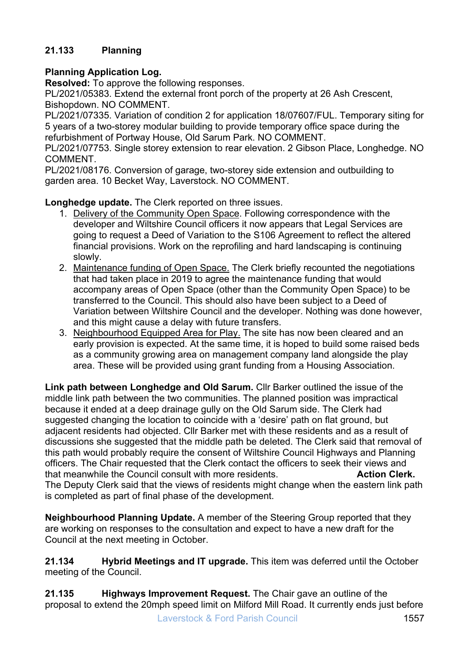#### **21.133 Planning**

#### **Planning Application Log.**

**Resolved:** To approve the following responses.

PL/2021/05383. Extend the external front porch of the property at 26 Ash Crescent, Bishopdown. NO COMMENT.

PL/2021/07335. Variation of condition 2 for application 18/07607/FUL. Temporary siting for 5 years of a two-storey modular building to provide temporary office space during the refurbishment of Portway House, Old Sarum Park. NO COMMENT.

PL/2021/07753. Single storey extension to rear elevation. 2 Gibson Place, Longhedge. NO COMMENT.

PL/2021/08176. Conversion of garage, two-storey side extension and outbuilding to garden area. 10 Becket Way, Laverstock. NO COMMENT.

**Longhedge update.** The Clerk reported on three issues.

- 1. Delivery of the Community Open Space. Following correspondence with the developer and Wiltshire Council officers it now appears that Legal Services are going to request a Deed of Variation to the S106 Agreement to reflect the altered financial provisions. Work on the reprofiling and hard landscaping is continuing slowly.
- 2. Maintenance funding of Open Space. The Clerk briefly recounted the negotiations that had taken place in 2019 to agree the maintenance funding that would accompany areas of Open Space (other than the Community Open Space) to be transferred to the Council. This should also have been subject to a Deed of Variation between Wiltshire Council and the developer. Nothing was done however, and this might cause a delay with future transfers.
- 3. Neighbourhood Equipped Area for Play. The site has now been cleared and an early provision is expected. At the same time, it is hoped to build some raised beds as a community growing area on management company land alongside the play area. These will be provided using grant funding from a Housing Association.

**Link path between Longhedge and Old Sarum.** Cllr Barker outlined the issue of the middle link path between the two communities. The planned position was impractical because it ended at a deep drainage gully on the Old Sarum side. The Clerk had suggested changing the location to coincide with a 'desire' path on flat ground, but adjacent residents had objected. Cllr Barker met with these residents and as a result of discussions she suggested that the middle path be deleted. The Clerk said that removal of this path would probably require the consent of Wiltshire Council Highways and Planning officers. The Chair requested that the Clerk contact the officers to seek their views and that meanwhile the Council consult with more residents. **Action Clerk.**  The Deputy Clerk said that the views of residents might change when the eastern link path is completed as part of final phase of the development.

**Neighbourhood Planning Update.** A member of the Steering Group reported that they are working on responses to the consultation and expect to have a new draft for the Council at the next meeting in October.

**21.134 Hybrid Meetings and IT upgrade.** This item was deferred until the October meeting of the Council.

**21.135 Highways Improvement Request.** The Chair gave an outline of the proposal to extend the 20mph speed limit on Milford Mill Road. It currently ends just before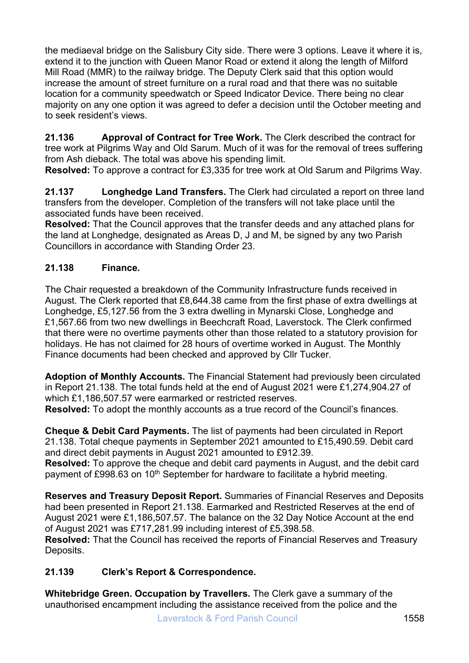the mediaeval bridge on the Salisbury City side. There were 3 options. Leave it where it is, extend it to the junction with Queen Manor Road or extend it along the length of Milford Mill Road (MMR) to the railway bridge. The Deputy Clerk said that this option would increase the amount of street furniture on a rural road and that there was no suitable location for a community speedwatch or Speed Indicator Device. There being no clear majority on any one option it was agreed to defer a decision until the October meeting and to seek resident's views.

**21.136 Approval of Contract for Tree Work.** The Clerk described the contract for tree work at Pilgrims Way and Old Sarum. Much of it was for the removal of trees suffering from Ash dieback. The total was above his spending limit.

**Resolved:** To approve a contract for £3,335 for tree work at Old Sarum and Pilgrims Way.

**21.137 Longhedge Land Transfers.** The Clerk had circulated a report on three land transfers from the developer. Completion of the transfers will not take place until the associated funds have been received.

**Resolved:** That the Council approves that the transfer deeds and any attached plans for the land at Longhedge, designated as Areas D, J and M, be signed by any two Parish Councillors in accordance with Standing Order 23.

### **21.138 Finance.**

The Chair requested a breakdown of the Community Infrastructure funds received in August. The Clerk reported that £8,644.38 came from the first phase of extra dwellings at Longhedge, £5,127.56 from the 3 extra dwelling in Mynarski Close, Longhedge and £1,567.66 from two new dwellings in Beechcraft Road, Laverstock. The Clerk confirmed that there were no overtime payments other than those related to a statutory provision for holidays. He has not claimed for 28 hours of overtime worked in August. The Monthly Finance documents had been checked and approved by Cllr Tucker.

**Adoption of Monthly Accounts.** The Financial Statement had previously been circulated in Report 21.138. The total funds held at the end of August 2021 were £1,274,904.27 of which £1,186,507.57 were earmarked or restricted reserves.

**Resolved:** To adopt the monthly accounts as a true record of the Council's finances.

**Cheque & Debit Card Payments.** The list of payments had been circulated in Report 21.138. Total cheque payments in September 2021 amounted to £15,490.59. Debit card and direct debit payments in August 2021 amounted to £912.39. **Resolved:** To approve the cheque and debit card payments in August, and the debit card payment of £998.63 on 10<sup>th</sup> September for hardware to facilitate a hybrid meeting.

**Reserves and Treasury Deposit Report.** Summaries of Financial Reserves and Deposits had been presented in Report 21.138. Earmarked and Restricted Reserves at the end of August 2021 were £1,186,507.57. The balance on the 32 Day Notice Account at the end of August 2021 was £717,281.99 including interest of £5,398.58.

**Resolved:** That the Council has received the reports of Financial Reserves and Treasury Deposits.

## **21.139 Clerk's Report & Correspondence.**

**Whitebridge Green. Occupation by Travellers.** The Clerk gave a summary of the unauthorised encampment including the assistance received from the police and the